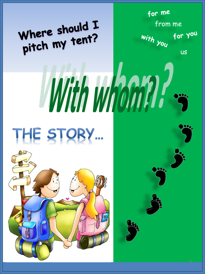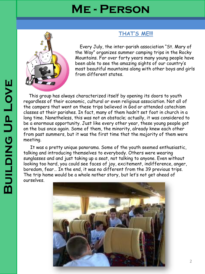## **Me - Person**



Every July, the inter-parish association "St. Mary of the Way" organizes summer camping trips in the Rocky Mountains. For over forty years many young people have been able to see the amazing sights of our country's most beautiful mountains along with other boys and girls from different states.

**THAT'S ME!!!**

This group has always characterized itself by opening its doors to youth regardless of their economic, cultural or even religious association. Not all of the campers that went on these trips believed in God or attended catechism classes at their parishes. In fact, many of them hadn't set foot in church in a long time. Nonetheless, this was not an obstacle; actually, it was considered to be a enormous opportunity. Just like every other year, these young people got on the bus once again. Some of them, the minority, already knew each other from past summers, but it was the first time that the majority of them were meeting.

It was a pretty unique panorama. Some of the youth seemed enthusiastic, talking and introducing themselves to everybody. Others were wearing sunglasses and and just taking up a seat, not talking to anyone. Even without looking too hard, you could see faces of joy, excitement, indifference, anger, boredom, fear… In the end, it was no different from the 39 previous trips. The trip home would be a whole nother [story, but let's not get ahead of](http://www.google.es/url?sa=i&rct=j&q=fotos campamento Picos autobus&source=images&cd=&cad=rja&docid=wVAfI_LokrC_KM&tbnid=6r7p63t1zRq0OM:&ved=0CAUQjRw&url=http://elfarodelabarrosa.blogspot.com/2010_08_01_archive.html&ei=ZIPmUclB5ZPQBfvHgegI&psig=AFQjCNHfo5DlmrzlzAGyTjHpWwZI0V7J9Q&ust=1374147775488844)  ourselves.

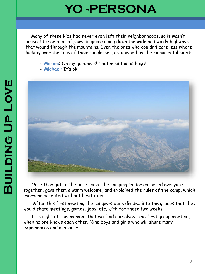## **YO -PERSONA**

Many of these kids had never even left their neighborhoods, so it wasn't unusual to see a lot of jaws dropping going down the wide and windy highways that wound through the mountains. Even the ones who couldn't care less where looking over the tops of their sunglasses, astonished by the monumental sights.

- **- Miriam**: Oh my goodness! That mountain is huge!
- **- Michael**: It's ok.



Once they got to the base camp, the camping leader gathered everyone together, gave them a warm welcome, and explained the rules of the camp, which everyone accepted without hesitation.

After this first meeting the campers were divided into the groups that they would share meetings, games, jobs, etc. with for these two weeks.

It is right at this moment that we find ourselves. The first group meeting, when no one knows each other. Nine boys and girls who will share many experiences and memories.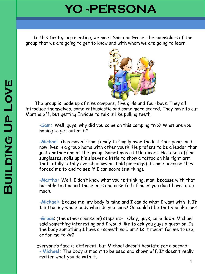## **YO -PERSONA**

In this first group meeting, we meet Sam and Grace, the counselors of the group that we are going to get to know and with whom we are going to learn.



The group is made up of nine campers, five girls and four boys. They all introduce themselves, some enthusiastic and some more scared. They have to cut Martha off, but getting Enrique to talk is like pulling teeth.

-**Sam:** Well, guys, why did you come on this camping trip? What are you hoping to get out of it?

-**Michael** (has moved from family to family over the last four years and now lives in a group home with other youth. He prefers to be a leader than just another one of the group. Sometimes a little direct. He takes off his sunglasses, rolls up his sleeves a little to show a tattoo on his right arm that totally totally overshadows his bold piercings). I came because they forced me to and to see if I can score (smirking).

-**Martha:** Well, I don't know what you're thinking, man, because with that horrible tattoo and those ears and nose full of holes you don't have to do much.

-**Michael:** Excuse me, my body is mine and I can do what I want with it. If I tattoo my whole body what do you care? Or could it be that you like me?

-**Grace**: (the other counselor) steps in:- Okay, guys, calm down. Michael said something interesting and I would like to ask you guys a question. Is the body something I have or something I am? Is it meant for me to use, or for me to be?

Everyone's face is different, but Michael doesn't hesitate for a second: - **Michael:** The body is meant to be used and shown off. It doesn't really matter what you do with it.